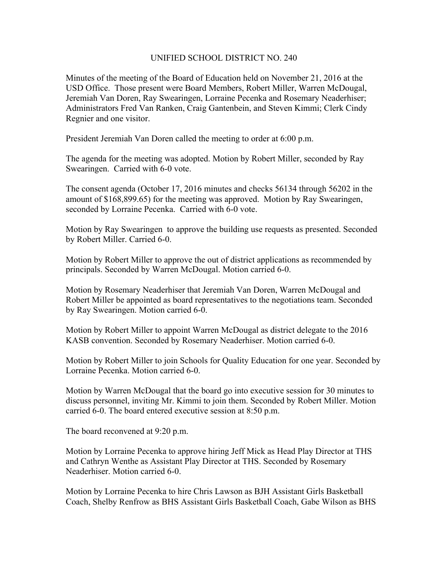## UNIFIED SCHOOL DISTRICT NO. 240

Minutes of the meeting of the Board of Education held on November 21, 2016 at the USD Office. Those present were Board Members, Robert Miller, Warren McDougal, Jeremiah Van Doren, Ray Swearingen, Lorraine Pecenka and Rosemary Neaderhiser; Administrators Fred Van Ranken, Craig Gantenbein, and Steven Kimmi; Clerk Cindy Regnier and one visitor.

President Jeremiah Van Doren called the meeting to order at 6:00 p.m.

The agenda for the meeting was adopted. Motion by Robert Miller, seconded by Ray Swearingen. Carried with 6-0 vote.

The consent agenda (October 17, 2016 minutes and checks 56134 through 56202 in the amount of \$168,899.65) for the meeting was approved. Motion by Ray Swearingen, seconded by Lorraine Pecenka. Carried with 6-0 vote.

Motion by Ray Swearingen to approve the building use requests as presented. Seconded by Robert Miller. Carried 6-0.

Motion by Robert Miller to approve the out of district applications as recommended by principals. Seconded by Warren McDougal. Motion carried 6-0.

Motion by Rosemary Neaderhiser that Jeremiah Van Doren, Warren McDougal and Robert Miller be appointed as board representatives to the negotiations team. Seconded by Ray Swearingen. Motion carried 6-0.

Motion by Robert Miller to appoint Warren McDougal as district delegate to the 2016 KASB convention. Seconded by Rosemary Neaderhiser. Motion carried 6-0.

Motion by Robert Miller to join Schools for Quality Education for one year. Seconded by Lorraine Pecenka. Motion carried 6-0.

Motion by Warren McDougal that the board go into executive session for 30 minutes to discuss personnel, inviting Mr. Kimmi to join them. Seconded by Robert Miller. Motion carried 6-0. The board entered executive session at 8:50 p.m.

The board reconvened at 9:20 p.m.

Motion by Lorraine Pecenka to approve hiring Jeff Mick as Head Play Director at THS and Cathryn Wenthe as Assistant Play Director at THS. Seconded by Rosemary Neaderhiser. Motion carried 6-0.

Motion by Lorraine Pecenka to hire Chris Lawson as BJH Assistant Girls Basketball Coach, Shelby Renfrow as BHS Assistant Girls Basketball Coach, Gabe Wilson as BHS